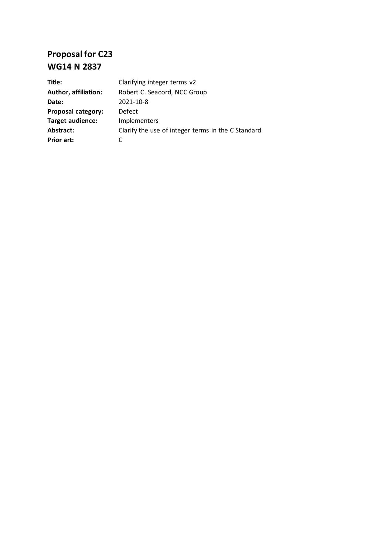# **Proposal for C23 WG14 N 2837**

| Title:                      | Clarifying integer terms v2                        |
|-----------------------------|----------------------------------------------------|
| <b>Author, affiliation:</b> | Robert C. Seacord, NCC Group                       |
| Date:                       | 2021-10-8                                          |
| <b>Proposal category:</b>   | Defect                                             |
| <b>Target audience:</b>     | Implementers                                       |
| Abstract:                   | Clarify the use of integer terms in the C Standard |
| Prior art:                  |                                                    |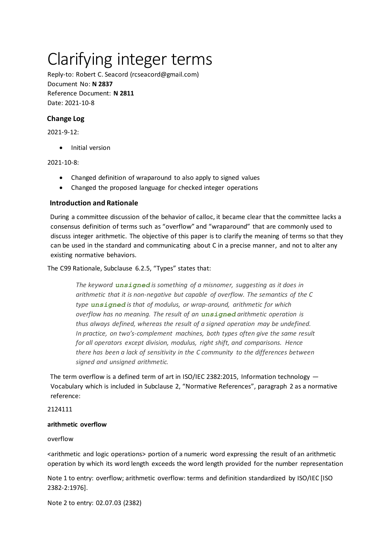# Clarifying integer terms

Reply-to: Robert C. Seacord (rcseacord@gmail.com) Document No: **N 2837** Reference Document: **N 2811** Date: 2021-10-8

# **Change Log**

2021-9-12:

• Initial version

## 2021-10-8:

- Changed definition of wraparound to also apply to signed values
- Changed the proposed language for checked integer operations

# **Introduction and Rationale**

During a committee discussion of the behavior of calloc, it became clear that the committee lacks a consensus definition of terms such as "overflow" and "wraparound" that are commonly used to discuss integer arithmetic. The objective of this paper is to clarify the meaning of terms so that they can be used in the standard and communicating about C in a precise manner, and not to alter any existing normative behaviors.

The C99 Rationale, Subclause 6.2.5, "Types" states that:

*The keyword unsigned is something of a misnomer, suggesting as it does in arithmetic that it is non-negative but capable of overflow. The semantics of the C type unsigned is that of modulus, or wrap-around, arithmetic for which overflow has no meaning. The result of an unsigned arithmetic operation is thus always defined, whereas the result of a signed operation may be undefined. In practice, on two's-complement machines, both types often give the same result for all operators except division, modulus, right shift, and comparisons. Hence there has been a lack of sensitivity in the C community to the differences between signed and unsigned arithmetic.*

The term overflow is a defined term of art in ISO/IEC 2382:2015, Information technology — Vocabulary which is included in Subclause 2, "Normative References", paragraph 2 as a normative reference:

#### 2124111

#### **arithmetic overflow**

#### overflow

<arithmetic and logic operations> portion of a numeric word expressing the result of an arithmetic operation by which its word length exceeds the word length provided for the number representation

Note 1 to entry: overflow; arithmetic overflow: terms and definition standardized by ISO/IEC [ISO 2382-2:1976].

Note 2 to entry: 02.07.03 (2382)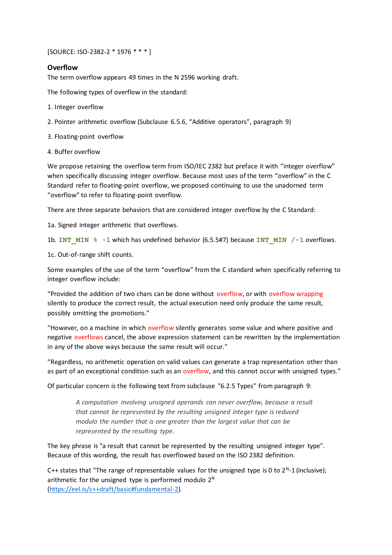[SOURCE: ISO-2382-2 \* 1976 \* \* \* ]

## **Overflow**

The term overflow appears 49 times in the N 2596 working draft.

The following types of overflow in the standard:

- 1. Integer overflow
- 2. Pointer arithmetic overflow (Subclause 6.5.6, "Additive operators", paragraph 9)

3. Floating-point overflow

4. Buffer overflow

We propose retaining the overflow term from ISO/IEC 2382 but preface it with "integer overflow" when specifically discussing integer overflow. Because most uses of the term "overflow" in the C Standard refer to floating-point overflow, we proposed continuing to use the unadorned term "overflow" to refer to floating-point overflow.

There are three separate behaviors that are considered integer overflow by the C Standard:

1a. Signed integer arithmetic that overflows.

1b. **INT\_MIN % -1** which has undefined behavior (6.5.5#7) because **INT\_MIN /-1** overflows.

1c. Out-of-range shift counts.

Some examples of the use of the term "overflow" from the C standard when specifically referring to integer overflow include:

"Provided the addition of two chars can be done without overflow, or with overflow wrapping silently to produce the correct result, the actual execution need only produce the same result, possibly omitting the promotions."

"However, on a machine in which overflow silently generates some value and where positive and negative overflows cancel, the above expression statement can be rewritten by the implementation in any of the above ways because the same result will occur."

"Regardless, no arithmetic operation on valid values can generate a trap representation other than as part of an exceptional condition such as an overflow, and this cannot occur with unsigned types."

Of particular concern is the following text from subclause "6.2.5 Types" from paragraph 9:

*A computation involving unsigned operands can never overflow, because a result that cannot be represented by the resulting unsigned integer type is reduced modulo the number that is one greater than the largest value that can be represented by the resulting type.*

The key phrase is "a result that cannot be represented by the resulting unsigned integer type". Because of this wording, the result has overflowed based on the ISO 2382 definition.

C++ states that "The range of representable values for the unsigned type is 0 to  $2^N-1$  (inclusive); arithmetic for the unsigned type is performed modulo  $2^N$ [\(https://eel.is/c++draft/basic#fundamental-2\).](https://eel.is/c++draft/basic#fundamental-2)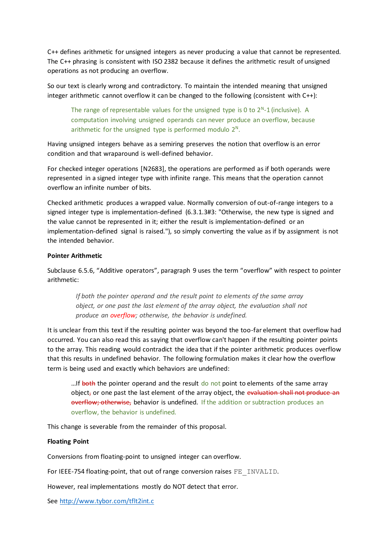C++ defines arithmetic for unsigned integers as never producing a value that cannot be represented. The C++ phrasing is consistent with ISO 2382 because it defines the arithmetic result of unsigned operations as not producing an overflow.

So our text is clearly wrong and contradictory. To maintain the intended meaning that unsigned integer arithmetic cannot overflow it can be changed to the following (consistent with C++):

The range of representable values for the unsigned type is 0 to  $2^N-1$  (inclusive). A computation involving unsigned operands can never produce an overflow, because arithmetic for the unsigned type is performed modulo  $2^N$ .

Having unsigned integers behave as a semiring preserves the notion that overflow is an error condition and that wraparound is well-defined behavior.

For checked integer operations [N2683], the operations are performed as if both operands were represented in a signed integer type with infinite range. This means that the operation cannot overflow an infinite number of bits.

Checked arithmetic produces a wrapped value. Normally conversion of out-of-range integers to a signed integer type is implementation-defined (6.3.1.3#3: "Otherwise, the new type is signed and the value cannot be represented in it; either the result is implementation-defined or an implementation-defined signal is raised."), so simply converting the value as if by assignment is not the intended behavior.

## **Pointer Arithmetic**

Subclause 6.5.6, "Additive operators", paragraph 9 uses the term "overflow" with respect to pointer arithmetic:

*If both the pointer operand and the result point to elements of the same array object, or one past the last element of the array object, the evaluation shall not produce an overflow; otherwise, the behavior is undefined.*

It is unclear from this text if the resulting pointer was beyond the too-far element that overflow had occurred. You can also read this as saying that overflow can't happen if the resulting pointer points to the array. This reading would contradict the idea that if the pointer arithmetic produces overflow that this results in undefined behavior. The following formulation makes it clear how the overflow term is being used and exactly which behaviors are undefined:

...If both the pointer operand and the result do not point to elements of the same array object, or one past the last element of the array object, the evaluation shall not produce an overflow; otherwise, behavior is undefined. If the addition or subtraction produces an overflow, the behavior is undefined.

This change is severable from the remainder of this proposal.

#### **Floating Point**

Conversions from floating-point to unsigned integer can overflow.

For IEEE-754 floating-point, that out of range conversion raises FE\_INVALID.

However, real implementations mostly do NOT detect that error.

See<http://www.tybor.com/tflt2int.c>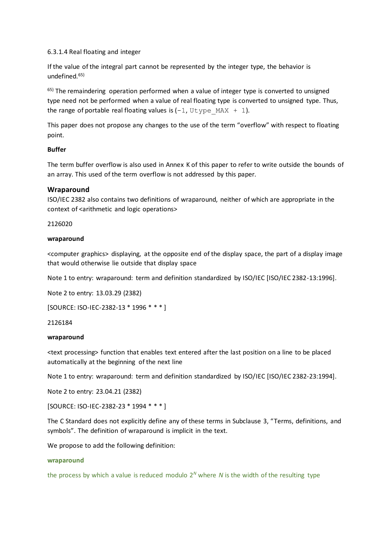#### 6.3.1.4 Real floating and integer

If the value of the integral part cannot be represented by the integer type, the behavior is undefined.65)

<sup>65)</sup> The remaindering operation performed when a value of integer type is converted to unsigned type need not be performed when a value of real floating type is converted to unsigned type. Thus, the range of portable real floating values is  $(-1, Utype MAX + 1)$ .

This paper does not propose any changes to the use of the term "overflow" with respect to floating point.

#### **Buffer**

The term buffer overflow is also used in Annex K of this paper to refer to write outside the bounds of an array. This used of the term overflow is not addressed by this paper.

#### **Wraparound**

ISO/IEC 2382 also contains two definitions of wraparound, neither of which are appropriate in the context of <arithmetic and logic operations>

2126020

#### **wraparound**

<computer graphics> displaying, at the opposite end of the display space, the part of a display image that would otherwise lie outside that display space

Note 1 to entry: wraparound: term and definition standardized by ISO/IEC [ISO/IEC 2382-13:1996].

Note 2 to entry: 13.03.29 (2382)

[SOURCE: ISO-IEC-2382-13 \* 1996 \* \* \* ]

#### 2126184

#### **wraparound**

<text processing> function that enables text entered after the last position on a line to be placed automatically at the beginning of the next line

Note 1 to entry: wraparound: term and definition standardized by ISO/IEC [ISO/IEC 2382-23:1994].

Note 2 to entry: 23.04.21 (2382)

[SOURCE: ISO-IEC-2382-23 \* 1994 \* \* \* ]

The C Standard does not explicitly define any of these terms in Subclause 3, "Terms, definitions, and symbols". The definition of wraparound is implicit in the text.

We propose to add the following definition:

#### **wraparound**

the process by which a value is reduced modulo  $2^N$  where *N* is the width of the resulting type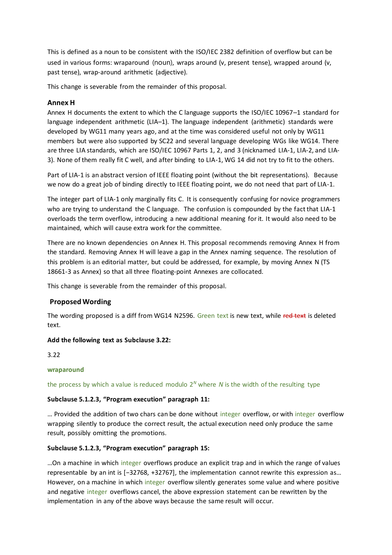This is defined as a noun to be consistent with the ISO/IEC 2382 definition of overflow but can be used in various forms: wraparound (noun), wraps around (v, present tense), wrapped around (v, past tense), wrap-around arithmetic (adjective).

This change is severable from the remainder of this proposal.

# **Annex H**

Annex H documents the extent to which the C language supports the ISO/IEC 10967–1 standard for language independent arithmetic (LIA–1). The language independent (arithmetic) standards were developed by WG11 many years ago, and at the time was considered useful not only by WG11 members but were also supported by SC22 and several language developing WGs like WG14. There are three LIA standards, which are ISO/IEC 10967 Parts 1, 2, and 3 (nicknamed LIA-1, LIA-2, and LIA-3). None of them really fit C well, and after binding to LIA-1, WG 14 did not try to fit to the others.

Part of LIA-1 is an abstract version of IEEE floating point (without the bit representations). Because we now do a great job of binding directly to IEEE floating point, we do not need that part of LIA-1.

The integer part of LIA-1 only marginally fits C. It is consequently confusing for novice programmers who are trying to understand the C language. The confusion is compounded by the fact that LIA-1 overloads the term overflow, introducing a new additional meaning for it. It would also need to be maintained, which will cause extra work for the committee.

There are no known dependencies on Annex H. This proposal recommends removing Annex H from the standard. Removing Annex H will leave a gap in the Annex naming sequence. The resolution of this problem is an editorial matter, but could be addressed, for example, by moving Annex N (TS 18661-3 as Annex) so that all three floating-point Annexes are collocated.

This change is severable from the remainder of this proposal.

#### **Proposed Wording**

The wording proposed is a diff from WG14 N2596. Green text is new text, while red text is deleted text.

#### **Add the following text as Subclause 3.22:**

3.22

#### **wraparound**

the process by which a value is reduced modulo  $2^N$  where  $N$  is the width of the resulting type

#### **Subclause 5.1.2.3, "Program execution" paragraph 11:**

… Provided the addition of two chars can be done without integer overflow, or with integer overflow wrapping silently to produce the correct result, the actual execution need only produce the same result, possibly omitting the promotions.

#### **Subclause 5.1.2.3, "Program execution" paragraph 15:**

…On a machine in which integer overflows produce an explicit trap and in which the range of values representable by an int is [−32768, +32767], the implementation cannot rewrite this expression as… However, on a machine in which integer overflow silently generates some value and where positive and negative integer overflows cancel, the above expression statement can be rewritten by the implementation in any of the above ways because the same result will occur.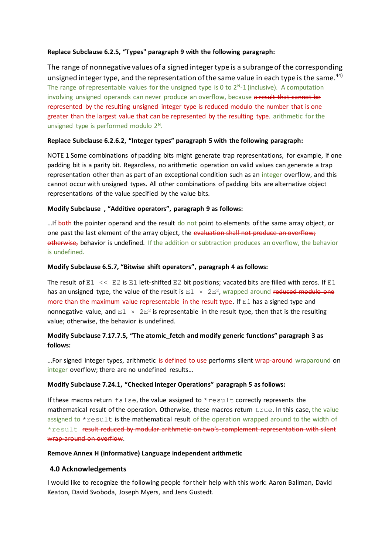#### **Replace Subclause 6.2.5, "Types" paragraph 9 with the following paragraph:**

The range of nonnegative values of a signed integer type is a subrange of the corresponding unsigned integer type, and the representation of the same value in each type is the same.<sup>44)</sup> The range of representable values for the unsigned type is 0 to  $2<sup>N</sup>$ -1 (inclusive). A computation involving unsigned operands can never produce an overflow, because a result that cannot be represented by the resulting unsigned integer type is reduced modulo the number that is one greater than the largest value that can be represented by the resulting type. arithmetic for the unsigned type is performed modulo  $2^N$ .

## **Replace Subclause 6.2.6.2, "Integer types" paragraph 5 with the following paragraph:**

NOTE 1 Some combinations of padding bits might generate trap representations, for example, if one padding bit is a parity bit. Regardless, no arithmetic operation on valid values can generate a trap representation other than as part of an exceptional condition such as an integer overflow, and this cannot occur with unsigned types. All other combinations of padding bits are alternative object representations of the value specified by the value bits.

## **Modify Subclause , "Additive operators", paragraph 9 as follows:**

...If both the pointer operand and the result do not point to elements of the same array object, or one past the last element of the array object, the evaluation shall not produce an overflow; otherwise, behavior is undefined. If the addition or subtraction produces an overflow, the behavior is undefined.

## **Modify Subclause 6.5.7, "Bitwise shift operators", paragraph 4 as follows:**

The result of  $E1 \ll E2$  is  $E1$  left-shifted E2 bit positions; vacated bits are filled with zeros. If E1 has an unsigned type, the value of the result is  $E1 \times 2E^2$ , wrapped around reduced modulo one more than the maximum value representable in the result type. If E1 has a signed type and nonnegative value, and  $E1 \times 2E^2$  is representable in the result type, then that is the resulting value; otherwise, the behavior is undefined.

# **Modify Subclause 7.17.7.5, "The atomic\_fetch and modify generic functions" paragraph 3 as follows:**

...For signed integer types, arithmetic is defined to use performs silent wrap-around wraparound on integer overflow; there are no undefined results…

# **Modify Subclause 7.24.1, "Checked Integer Operations" paragraph 5 as follows:**

If these macros return  $false$ , the value assigned to  $*result$  correctly represents the mathematical result of the operation. Otherwise, these macros return true. In this case, the value assigned to \*result is the mathematical result of the operation wrapped around to the width of \*result result reduced by modular arithmetic on two's complement representation with silent wrap-around on overflow.

#### **Remove Annex H (informative) Language independent arithmetic**

# **4.0 Acknowledgements**

I would like to recognize the following people fortheir help with this work: Aaron Ballman, David Keaton, David Svoboda, Joseph Myers, and Jens Gustedt.